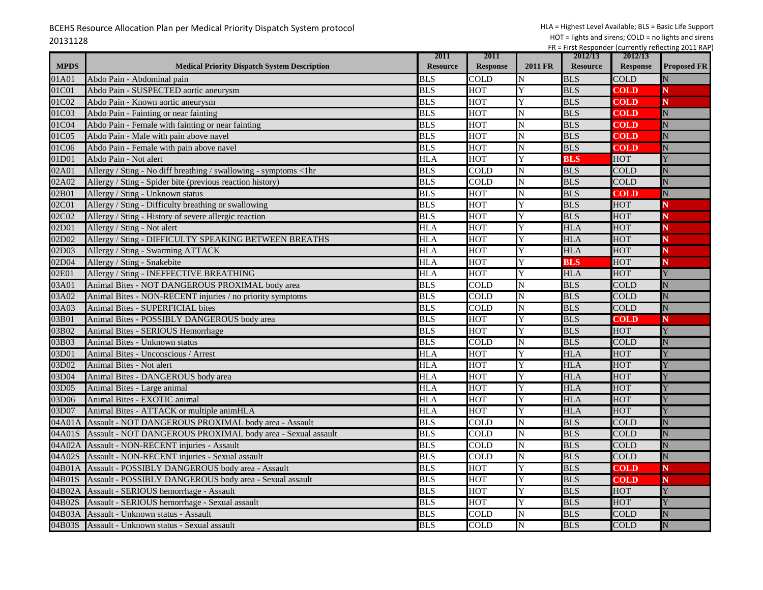|             |                                                                  | 2011            | 2011            |                         | 2012/13         | 2012/13         |                    |
|-------------|------------------------------------------------------------------|-----------------|-----------------|-------------------------|-----------------|-----------------|--------------------|
| <b>MPDS</b> | <b>Medical Priority Dispatch System Description</b>              | <b>Resource</b> | <b>Response</b> | <b>2011 FR</b>          | <b>Resource</b> | <b>Response</b> | <b>Proposed FR</b> |
| 01A01       | Abdo Pain - Abdominal pain                                       | BLS             | COLD            | N                       | <b>BLS</b>      | <b>COLD</b>     |                    |
| 01C01       | Abdo Pain - SUSPECTED aortic aneurysm                            | <b>BLS</b>      | HOT             | Y                       | <b>BLS</b>      | <b>COLD</b>     | N                  |
| 01C02       | Abdo Pain - Known aortic aneurysm                                | <b>BLS</b>      | <b>HOT</b>      | Y                       | <b>BLS</b>      | <b>COLD</b>     | N                  |
| 01C03       | Abdo Pain - Fainting or near fainting                            | <b>BLS</b>      | <b>HOT</b>      | N                       | <b>BLS</b>      | <b>COLD</b>     | N                  |
| 01C04       | Abdo Pain - Female with fainting or near fainting                | <b>BLS</b>      | <b>HOT</b>      | N                       | <b>BLS</b>      | <b>COLD</b>     | N                  |
| 01C05       | Abdo Pain - Male with pain above navel                           | <b>BLS</b>      | HOT             | N                       | <b>BLS</b>      | <b>COLD</b>     | N                  |
| 01C06       | Abdo Pain - Female with pain above navel                         | <b>BLS</b>      | HOT             | N                       | <b>BLS</b>      | <b>COLD</b>     | N                  |
| 01D01       | Abdo Pain - Not alert                                            | <b>HLA</b>      | <b>HOT</b>      | Y                       | <b>BLS</b>      | HOT             |                    |
| 02A01       | Allergy / Sting - No diff breathing / swallowing - symptoms <1hr | <b>BLS</b>      | <b>COLD</b>     | N                       | <b>BLS</b>      | <b>COLD</b>     |                    |
| 02A02       | Allergy / Sting - Spider bite (previous reaction history)        | <b>BLS</b>      | <b>COLD</b>     | N                       | <b>BLS</b>      | <b>COLD</b>     |                    |
| 02B01       | Allergy / Sting - Unknown status                                 | <b>BLS</b>      | HOT             | $\mathbf N$             | <b>BLS</b>      | <b>COLD</b>     | N                  |
| 02C01       | Allergy / Sting - Difficulty breathing or swallowing             | <b>BLS</b>      | HOT             | Y                       | <b>BLS</b>      | <b>HOT</b>      |                    |
| 02C02       | Allergy / Sting - History of severe allergic reaction            | <b>BLS</b>      | <b>HOT</b>      | Y                       | <b>BLS</b>      | <b>HOT</b>      |                    |
| 02D01       | Allergy / Sting - Not alert                                      | <b>HLA</b>      | <b>HOT</b>      | Y                       | <b>HLA</b>      | <b>HOT</b>      |                    |
| 02D02       | Allergy / Sting - DIFFICULTY SPEAKING BETWEEN BREATHS            | <b>HLA</b>      | <b>HOT</b>      | Y                       | <b>HLA</b>      | <b>HOT</b>      |                    |
| 02D03       | Allergy / Sting - Swarming ATTACK                                | <b>HLA</b>      | HOT             | Y                       | <b>HLA</b>      | <b>HOT</b>      |                    |
| 02D04       | Allergy / Sting - Snakebite                                      | <b>HLA</b>      | HOT             | Ÿ                       | <b>BLS</b>      | <b>HOT</b>      |                    |
| 02E01       | Allergy / Sting - INEFFECTIVE BREATHING                          | <b>HLA</b>      | <b>HOT</b>      | Y                       | <b>HLA</b>      | <b>HOT</b>      |                    |
| 03A01       | Animal Bites - NOT DANGEROUS PROXIMAL body area                  | <b>BLS</b>      | <b>COLD</b>     | N                       | <b>BLS</b>      | <b>COLD</b>     |                    |
| 03A02       | Animal Bites - NON-RECENT injuries / no priority symptoms        | <b>BLS</b>      | <b>COLD</b>     | N                       | <b>BLS</b>      | <b>COLD</b>     |                    |
| 03A03       | <b>Animal Bites - SUPERFICIAL bites</b>                          | <b>BLS</b>      | COLD            | N                       | <b>BLS</b>      | <b>COLD</b>     | N                  |
| 03B01       | Animal Bites - POSSIBLY DANGEROUS body area                      | <b>BLS</b>      | HOT             | Y                       | <b>BLS</b>      | <b>COLD</b>     | N                  |
| 03B02       | Animal Bites - SERIOUS Hemorrhage                                | <b>BLS</b>      | <b>HOT</b>      | Y                       | <b>BLS</b>      | <b>HOT</b>      |                    |
| 03B03       | Animal Bites - Unknown status                                    | <b>BLS</b>      | COLD            | N                       | <b>BLS</b>      | <b>COLD</b>     | Ń                  |
| 03D01       | Animal Bites - Unconscious / Arrest                              | HLA             | <b>HOT</b>      | Y                       | HLA             | <b>HOT</b>      |                    |
| 03D02       | Animal Bites - Not alert                                         | <b>HLA</b>      | <b>HOT</b>      | Y                       | <b>HLA</b>      | HOT             |                    |
| 03D04       | Animal Bites - DANGEROUS body area                               | <b>HLA</b>      | HOT             | Y                       | <b>HLA</b>      | <b>HOT</b>      |                    |
| 03D05       | Animal Bites - Large animal                                      | <b>HLA</b>      | <b>HOT</b>      | Y                       | <b>HLA</b>      | <b>HOT</b>      |                    |
| 03D06       | Animal Bites - EXOTIC animal                                     | <b>HLA</b>      | <b>HOT</b>      | Ÿ                       | <b>HLA</b>      | <b>HOT</b>      |                    |
| 03D07       | Animal Bites - ATTACK or multiple animHLA                        | HLA             | HOT             | Y                       | <b>HLA</b>      | <b>HOT</b>      |                    |
| 04A01/      | Assault - NOT DANGEROUS PROXIMAL body area - Assault             | <b>BLS</b>      | COLD            | N                       | <b>BLS</b>      | <b>COLD</b>     | N                  |
| 04A01S      | Assault - NOT DANGEROUS PROXIMAL body area - Sexual assault      | <b>BLS</b>      | COLD            | N                       | <b>BLS</b>      | <b>COLD</b>     |                    |
| 04A02A      | <b>Assault - NON-RECENT injuries - Assault</b>                   | <b>BLS</b>      | <b>COLD</b>     | N                       | <b>BLS</b>      | <b>COLD</b>     |                    |
| 04A02S      | Assault - NON-RECENT injuries - Sexual assault                   | <b>BLS</b>      | COLD            | N                       | <b>BLS</b>      | <b>COLD</b>     | Ñ                  |
| 04B01A      | Assault - POSSIBLY DANGEROUS body area - Assault                 | <b>BLS</b>      | HOT             | Y                       | <b>BLS</b>      | <b>COLD</b>     | N                  |
| 04B01S      | Assault - POSSIBLY DANGEROUS body area - Sexual assault          | <b>BLS</b>      | <b>HOT</b>      | Y                       | <b>BLS</b>      | <b>COLD</b>     | N                  |
| 04B02A      | Assault - SERIOUS hemorrhage - Assault                           | <b>BLS</b>      | <b>HOT</b>      | Y                       | <b>BLS</b>      | <b>HOT</b>      |                    |
| 04B02S      | Assault - SERIOUS hemorrhage - Sexual assault                    | <b>BLS</b>      | <b>HOT</b>      | Y                       | <b>BLS</b>      | <b>HOT</b>      |                    |
| 04B03A      | Assault - Unknown status - Assault                               | <b>BLS</b>      | COLD            | N                       | <b>BLS</b>      | <b>COLD</b>     |                    |
|             | 04B03S Assault - Unknown status - Sexual assault                 | <b>BLS</b>      | <b>COLD</b>     | $\overline{\mathbf{N}}$ | <b>BLS</b>      | <b>COLD</b>     | N                  |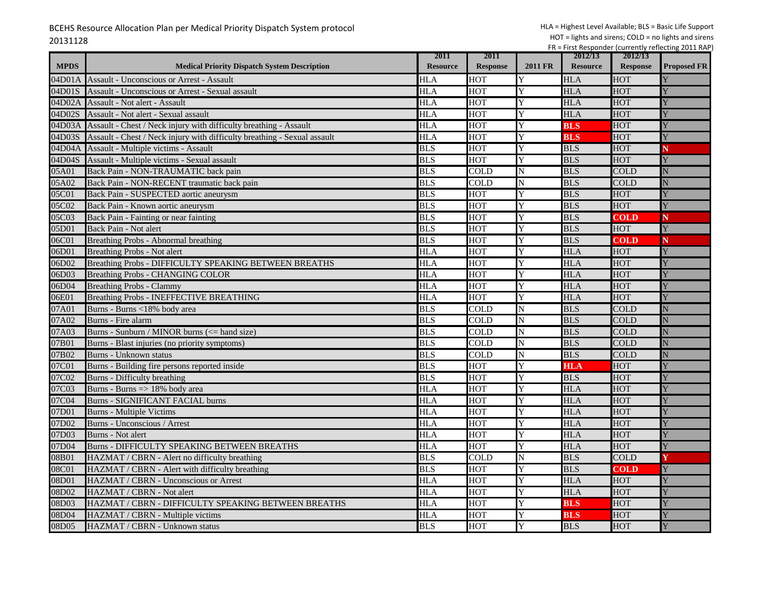| <b>MPDS</b>    | <b>Medical Priority Dispatch System Description</b>                      | 2011<br><b>Resource</b> | 2011<br><b>Response</b> | <b>2011 FR</b> | 2012/13<br><b>Resource</b> | 2012/13<br><b>Response</b> | <b>Proposed FR</b> |
|----------------|--------------------------------------------------------------------------|-------------------------|-------------------------|----------------|----------------------------|----------------------------|--------------------|
| 04D01 <i>A</i> | <b>Assault - Unconscious or Arrest - Assault</b>                         | HLA                     | HOT                     | Y              | <b>HLA</b>                 | HOT                        |                    |
| 04D01S         | Assault - Unconscious or Arrest - Sexual assault                         | HLA                     | HOT                     | Y              | <b>HLA</b>                 | <b>HOT</b>                 |                    |
| )4D02A         | Assault - Not alert - Assault                                            | <b>HLA</b>              | HOT                     | Y              | <b>HLA</b>                 | HOT                        |                    |
| 04D02S         | Assault - Not alert - Sexual assault                                     | <b>HLA</b>              | <b>HOT</b>              | Y              | <b>HLA</b>                 | HOT                        |                    |
| 04D03A         | Assault - Chest / Neck injury with difficulty breathing - Assault        | <b>HLA</b>              | <b>HOT</b>              | Y              | <b>BLS</b>                 | <b>HOT</b>                 |                    |
| 04D03S         | Assault - Chest / Neck injury with difficulty breathing - Sexual assault | <b>HLA</b>              | <b>HOT</b>              | Y              | <b>BLS</b>                 | <b>HOT</b>                 |                    |
| 04D04A         | Assault - Multiple victims - Assault                                     | <b>BLS</b>              | <b>HOT</b>              | Y              | <b>BLS</b>                 | <b>HOT</b>                 |                    |
| )4D04S         | Assault - Multiple victims - Sexual assault                              | <b>BLS</b>              | <b>HOT</b>              | Y              | <b>BLS</b>                 | <b>HOT</b>                 |                    |
| 05A01          | Back Pain - NON-TRAUMATIC back pain                                      | <b>BLS</b>              | COLD                    | N              | <b>BLS</b>                 | <b>COLD</b>                | Ń                  |
| 05A02          | Back Pain - NON-RECENT traumatic back pain                               | <b>BLS</b>              | $\overline{COLD}$       | N              | <b>BLS</b>                 | <b>COLD</b>                |                    |
| 05C01          | Back Pain - SUSPECTED aortic aneurysm                                    | <b>BLS</b>              | <b>HOT</b>              | Y              | <b>BLS</b>                 | <b>HOT</b>                 |                    |
| 05C02          | Back Pain - Known aortic aneurysm                                        | <b>BLS</b>              | HOT                     | Y              | <b>BLS</b>                 | HOT                        |                    |
| 05C03          | Back Pain - Fainting or near fainting                                    | <b>BLS</b>              | <b>HOT</b>              | Y              | <b>BLS</b>                 | <b>COLD</b>                | N                  |
| 05D01          | Back Pain - Not alert                                                    | <b>BLS</b>              | <b>HOT</b>              | Y              | <b>BLS</b>                 | <b>HOT</b>                 |                    |
| 06C01          | Breathing Probs - Abnormal breathing                                     | <b>BLS</b>              | <b>HOT</b>              | Y              | <b>BLS</b>                 | <b>COLD</b>                | N                  |
| 06D01          | <b>Breathing Probs - Not alert</b>                                       | <b>HLA</b>              | <b>HOT</b>              | Y              | <b>HLA</b>                 | <b>HOT</b>                 | Ÿ                  |
| 06D02          | Breathing Probs - DIFFICULTY SPEAKING BETWEEN BREATHS                    | <b>HLA</b>              | <b>HOT</b>              | Y              | <b>HLA</b>                 | <b>HOT</b>                 |                    |
| 06D03          | <b>Breathing Probs - CHANGING COLOR</b>                                  | <b>HLA</b>              | <b>HOT</b>              | Y              | <b>HLA</b>                 | <b>HOT</b>                 |                    |
| 06D04          | <b>Breathing Probs - Clammy</b>                                          | <b>HLA</b>              | <b>HOT</b>              | Y              | <b>HLA</b>                 | <b>HOT</b>                 |                    |
| 06E01          | <b>Breathing Probs - INEFFECTIVE BREATHING</b>                           | <b>HLA</b>              | HOT                     | Y              | <b>HLA</b>                 | <b>HOT</b>                 |                    |
| 07A01          | Burns - Burns <18% body area                                             | <b>BLS</b>              | COLD                    | N              | <b>BLS</b>                 | <b>COLD</b>                |                    |
| 07A02          | Burns - Fire alarm                                                       | <b>BLS</b>              | COLD                    | N              | <b>BLS</b>                 | <b>COLD</b>                | N                  |
| 07A03          | Burns - Sunburn / MINOR burns (<= hand size)                             | <b>BLS</b>              | COLD                    | N              | <b>BLS</b>                 | COLD                       |                    |
| 07B01          | Burns - Blast injuries (no priority symptoms)                            | <b>BLS</b>              | COLD                    | N              | <b>BLS</b>                 | <b>COLD</b>                | Ń                  |
| 07B02          | Burns - Unknown status                                                   | <b>BLS</b>              | COLD                    | N              | <b>BLS</b>                 | <b>COLD</b>                |                    |
| 07C01          | Burns - Building fire persons reported inside                            | <b>BLS</b>              | HOT                     | Y              | <b>HLA</b>                 | HOT                        |                    |
| 07C02          | Burns - Difficulty breathing                                             | <b>BLS</b>              | <b>HOT</b>              | Y              | <b>BLS</b>                 | <b>HOT</b>                 |                    |
| 07C03          | Burns - Burns => 18% body area                                           | <b>HLA</b>              | <b>HOT</b>              | Y              | <b>HLA</b>                 | <b>HOT</b>                 |                    |
| 07C04          | <b>Burns - SIGNIFICANT FACIAL burns</b>                                  | <b>HLA</b>              | HOT                     | Y              | <b>HLA</b>                 | <b>HOT</b>                 |                    |
| 07D01          | <b>Burns - Multiple Victims</b>                                          | <b>HLA</b>              | <b>HOT</b>              | Y              | HLA                        | <b>HOT</b>                 |                    |
| 07D02          | Burns - Unconscious / Arrest                                             | <b>HLA</b>              | <b>HOT</b>              | Y              | <b>HLA</b>                 | <b>HOT</b>                 |                    |
| 07D03          | <b>Burns</b> - Not alert                                                 | <b>HLA</b>              | <b>HOT</b>              | Y              | <b>HLA</b>                 | HOT                        |                    |
| 07D04          | <b>Burns - DIFFICULTY SPEAKING BETWEEN BREATHS</b>                       | <b>HLA</b>              | <b>HOT</b>              | Y              | <b>HLA</b>                 | <b>HOT</b>                 |                    |
| 08B01          | HAZMAT / CBRN - Alert no difficulty breathing                            | <b>BLS</b>              | <b>COLD</b>             | N              | <b>BLS</b>                 | <b>COLD</b>                |                    |
| 08C01          | HAZMAT / CBRN - Alert with difficulty breathing                          | <b>BLS</b>              | HOT                     | Y              | <b>BLS</b>                 | <b>COLD</b>                | Y                  |
| 08D01          | HAZMAT / CBRN - Unconscious or Arrest                                    | <b>HLA</b>              | <b>HOT</b>              | Y              | <b>HLA</b>                 | <b>HOT</b>                 |                    |
| 08D02          | HAZMAT / CBRN - Not alert                                                | <b>HLA</b>              | <b>HOT</b>              | Y              | <b>HLA</b>                 | <b>HOT</b>                 |                    |
| 08D03          | HAZMAT / CBRN - DIFFICULTY SPEAKING BETWEEN BREATHS                      | <b>HLA</b>              | <b>HOT</b>              | Ÿ              | <b>BLS</b>                 | <b>HOT</b>                 |                    |
| 08D04          | HAZMAT / CBRN - Multiple victims                                         | <b>HLA</b>              | <b>HOT</b>              | Y              | <b>BLS</b>                 | HOT                        |                    |
| 08D05          | HAZMAT / CBRN - Unknown status                                           | <b>BLS</b>              | <b>HOT</b>              | Y              | <b>BLS</b>                 | <b>HOT</b>                 | Y                  |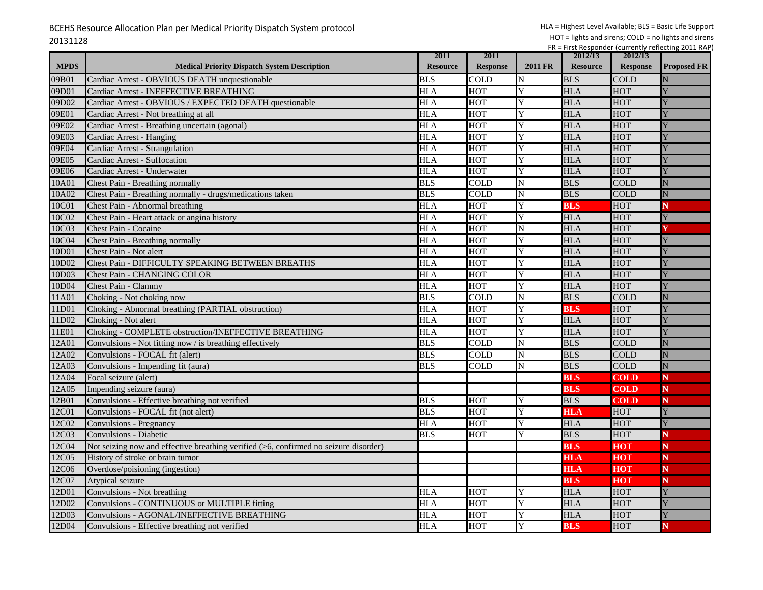|             |                                                                                      | 2011            | 2011            |                | 2012/13         | 2012/13         |                    |
|-------------|--------------------------------------------------------------------------------------|-----------------|-----------------|----------------|-----------------|-----------------|--------------------|
| <b>MPDS</b> | <b>Medical Priority Dispatch System Description</b>                                  | <b>Resource</b> | <b>Response</b> | <b>2011 FR</b> | <b>Resource</b> | <b>Response</b> | <b>Proposed FR</b> |
| 09B01       | Cardiac Arrest - OBVIOUS DEATH unquestionable                                        | <b>BLS</b>      | COLD            | N              | <b>BLS</b>      | COLD            |                    |
| 09D01       | Cardiac Arrest - INEFFECTIVE BREATHING                                               | <b>HLA</b>      | HOT             | Y              | <b>HLA</b>      | <b>HOT</b>      |                    |
| 09D02       | Cardiac Arrest - OBVIOUS / EXPECTED DEATH questionable                               | <b>HLA</b>      | HOT             | Ÿ              | <b>HLA</b>      | HOT             |                    |
| 09E01       | Cardiac Arrest - Not breathing at all                                                | <b>HLA</b>      | <b>HOT</b>      | Y              | <b>HLA</b>      | HOT             |                    |
| 09E02       | Cardiac Arrest - Breathing uncertain (agonal)                                        | <b>HLA</b>      | <b>HOT</b>      | Y              | <b>HLA</b>      | <b>HOT</b>      |                    |
| 09E03       | Cardiac Arrest - Hanging                                                             | <b>HLA</b>      | <b>HOT</b>      | Y              | <b>HLA</b>      | HOT             |                    |
| 09E04       | Cardiac Arrest - Strangulation                                                       | <b>HLA</b>      | <b>HOT</b>      | Y              | <b>HLA</b>      | HOT             |                    |
| 09E05       | Cardiac Arrest - Suffocation                                                         | HLA             | HOT             | Y              | <b>HLA</b>      | <b>HOT</b>      |                    |
| 09E06       | Cardiac Arrest - Underwater                                                          | <b>HLA</b>      | <b>HOT</b>      | Ÿ              | <b>HLA</b>      | HOT             |                    |
| 10A01       | Chest Pain - Breathing normally                                                      | <b>BLS</b>      | COLD            | N              | <b>BLS</b>      | COLD            |                    |
| 10A02       | Chest Pain - Breathing normally - drugs/medications taken                            | <b>BLS</b>      | COLD            | N              | <b>BLS</b>      | <b>COLD</b>     |                    |
| 10C01       | Chest Pain - Abnormal breathing                                                      | HLA             | HOT             | Y              | <b>BLS</b>      | HOT             | N                  |
| 10C02       | Chest Pain - Heart attack or angina history                                          | <b>HLA</b>      | <b>HOT</b>      | Y              | <b>HLA</b>      | <b>HOT</b>      | Y                  |
| 10C03       | Chest Pain - Cocaine                                                                 | <b>HLA</b>      | <b>HOT</b>      | N              | <b>HLA</b>      | <b>HOT</b>      |                    |
| 10C04       | Chest Pain - Breathing normally                                                      | <b>HLA</b>      | <b>HOT</b>      | Y              | <b>HLA</b>      | <b>HOT</b>      |                    |
| 10D01       | Chest Pain - Not alert                                                               | <b>HLA</b>      | HOT             | Y              | <b>HLA</b>      | HOT             |                    |
| 10D02       | Chest Pain - DIFFICULTY SPEAKING BETWEEN BREATHS                                     | <b>HLA</b>      | HOT             | Y              | <b>HLA</b>      | HOT             |                    |
| 10D03       | <b>Chest Pain - CHANGING COLOR</b>                                                   | HLA             | <b>HOT</b>      | Y              | <b>HLA</b>      | HOT             |                    |
| 10D04       | Chest Pain - Clammy                                                                  | <b>HLA</b>      | <b>HOT</b>      | Y              | <b>HLA</b>      | HOT             |                    |
| 11A01       | Choking - Not choking now                                                            | <b>BLS</b>      | <b>COLD</b>     | N              | <b>BLS</b>      | <b>COLD</b>     |                    |
| 11D01       | Choking - Abnormal breathing (PARTIAL obstruction)                                   | <b>HLA</b>      | <b>HOT</b>      | Y              | BLS             | HOT             |                    |
| 11D02       | Choking - Not alert                                                                  | <b>HLA</b>      | HOT             | Ÿ              | <b>HLA</b>      | HOT             |                    |
| 11E01       | Choking - COMPLETE obstruction/INEFFECTIVE BREATHING                                 | <b>HLA</b>      | <b>HOT</b>      | Y              | <b>HLA</b>      | <b>HOT</b>      |                    |
| 12A01       | Convulsions - Not fitting now / is breathing effectively                             | <b>BLS</b>      | COLD            | N              | <b>BLS</b>      | COLD            |                    |
| 12A02       | Convulsions - FOCAL fit (alert)                                                      | <b>BLS</b>      | <b>COLD</b>     | N              | <b>BLS</b>      | <b>COLD</b>     | N                  |
| 12A03       | Convulsions - Impending fit (aura)                                                   | <b>BLS</b>      | COLD            | N              | <b>BLS</b>      | COLD            | N                  |
| 12A04       | Focal seizure (alert)                                                                |                 |                 |                | <b>BLS</b>      | COLD            | N                  |
| 12A05       | Impending seizure (aura)                                                             |                 |                 |                | <b>BLS</b>      | <b>COLD</b>     | N                  |
| 12B01       | Convulsions - Effective breathing not verified                                       | <b>BLS</b>      | HOT             | Y              | <b>BLS</b>      | <b>COLD</b>     | N                  |
| 12C01       | Convulsions - FOCAL fit (not alert)                                                  | <b>BLS</b>      | HOT             | Y              | <b>HLA</b>      | HOT             |                    |
| 12C02       | Convulsions - Pregnancy                                                              | HLA             | HOT             | Y              | <b>HLA</b>      | <b>HOT</b>      |                    |
| 12C03       | Convulsions - Diabetic                                                               | <b>BLS</b>      | HOT             | Y              | <b>BLS</b>      | HOT             | N                  |
| 12C04       | Not seizing now and effective breathing verified (>6, confirmed no seizure disorder) |                 |                 |                | <b>BLS</b>      | HOT             | N                  |
| 12C05       | History of stroke or brain tumor                                                     |                 |                 |                | <b>HLA</b>      | <b>HOT</b>      | N                  |
| 12C06       | Overdose/poisioning (ingestion)                                                      |                 |                 |                | <b>HLA</b>      | нот             | N                  |
| 12C07       | Atypical seizure                                                                     |                 |                 |                | <b>BLS</b>      | нот             | N                  |
| 12D01       | Convulsions - Not breathing                                                          | HLA             | <b>HOT</b>      |                | <b>HLA</b>      | <b>HOT</b>      |                    |
| 12D02       | Convulsions - CONTINUOUS or MULTIPLE fitting                                         | <b>HLA</b>      | HOT             |                | <b>HLA</b>      | HOT             |                    |
| 12D03       | Convulsions - AGONAL/INEFFECTIVE BREATHING                                           | <b>HLA</b>      | HOT             | Y              | <b>HLA</b>      | HOT             |                    |
| 12D04       | Convulsions - Effective breathing not verified                                       | <b>HLA</b>      | <b>HOT</b>      | Y              | <b>BLS</b>      | <b>HOT</b>      | N                  |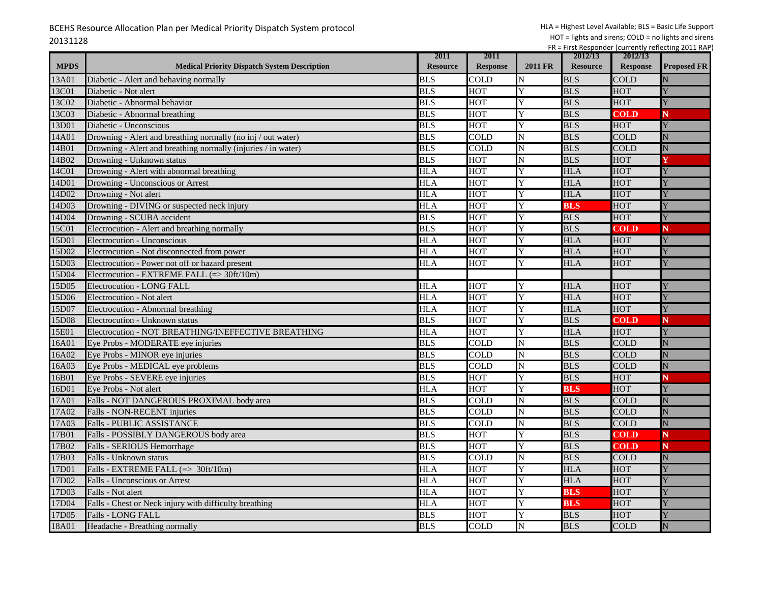|             |                                                               | 2011            | 2011            |                | 2012/13         | 2012/13         |                    |
|-------------|---------------------------------------------------------------|-----------------|-----------------|----------------|-----------------|-----------------|--------------------|
| <b>MPDS</b> | <b>Medical Priority Dispatch System Description</b>           | <b>Resource</b> | <b>Response</b> | <b>2011 FR</b> | <b>Resource</b> | <b>Response</b> | <b>Proposed FR</b> |
| 13A01       | Diabetic - Alert and behaving normally                        | <b>BLS</b>      | COLD            | N              | <b>BLS</b>      | <b>COLD</b>     |                    |
| 13C01       | Diabetic - Not alert                                          | <b>BLS</b>      | <b>HOT</b>      | Y              | <b>BLS</b>      | <b>HOT</b>      |                    |
| 13C02       | Diabetic - Abnormal behavior                                  | <b>BLS</b>      | HOT             | Y              | <b>BLS</b>      | <b>HOT</b>      |                    |
| 13C03       | Diabetic - Abnormal breathing                                 | <b>BLS</b>      | <b>HOT</b>      | Y              | <b>BLS</b>      | <b>COLD</b>     | N                  |
| 13D01       | Diabetic - Unconscious                                        | <b>BLS</b>      | <b>HOT</b>      | Ÿ              | <b>BLS</b>      | <b>HOT</b>      |                    |
| 14A01       | Drowning - Alert and breathing normally (no inj / out water)  | <b>BLS</b>      | COLD            | N              | <b>BLS</b>      | <b>COLD</b>     |                    |
| 14B01       | Drowning - Alert and breathing normally (injuries / in water) | <b>BLS</b>      | COLD            | N              | <b>BLS</b>      | <b>COLD</b>     | Ñ                  |
| 14B02       | Drowning - Unknown status                                     | <b>BLS</b>      | <b>HOT</b>      | N              | <b>BLS</b>      | <b>HOT</b>      |                    |
| 14C01       | Drowning - Alert with abnormal breathing                      | <b>HLA</b>      | <b>HOT</b>      | Y              | <b>HLA</b>      | <b>HOT</b>      |                    |
| 14D01       | Drowning - Unconscious or Arrest                              | <b>HLA</b>      | <b>HOT</b>      | Y              | <b>HLA</b>      | <b>HOT</b>      |                    |
| 14D02       | Drowning - Not alert                                          | <b>HLA</b>      | HOT             | Y              | HLA             | HOT             |                    |
| 14D03       | Drowning - DIVING or suspected neck injury                    | HLA             | HOT             | Y              | <b>BLS</b>      | <b>HOT</b>      |                    |
| 14D04       | Drowning - SCUBA accident                                     | <b>BLS</b>      | <b>HOT</b>      | Y              | <b>BLS</b>      | HOT             |                    |
| 15C01       | Electrocution - Alert and breathing normally                  | <b>BLS</b>      | <b>HOT</b>      | Y              | <b>BLS</b>      | <b>COLD</b>     | N                  |
| 15D01       | Electrocution - Unconscious                                   | <b>HLA</b>      | <b>HOT</b>      | Y              | <b>HLA</b>      | <b>HOT</b>      |                    |
| 15D02       | Electrocution - Not disconnected from power                   | <b>HLA</b>      | HOT             | Y              | <b>HLA</b>      | <b>HOT</b>      |                    |
| 15D03       | Electrocution - Power not off or hazard present               | HLA             | HOT             | Ÿ              | <b>HLA</b>      | <b>HOT</b>      |                    |
| 15D04       | Electrocution - EXTREME FALL (=> 30ft/10m)                    |                 |                 |                |                 |                 |                    |
| 15D05       | <b>Electrocution - LONG FALL</b>                              | <b>HLA</b>      | <b>HOT</b>      | Y              | <b>HLA</b>      | <b>HOT</b>      |                    |
| 15D06       | Electrocution - Not alert                                     | <b>HLA</b>      | <b>HOT</b>      | Y              | <b>HLA</b>      | <b>HOT</b>      |                    |
| 15D07       | Electrocution - Abnormal breathing                            | <b>HLA</b>      | <b>HOT</b>      | Y              | <b>HLA</b>      | <b>HOT</b>      |                    |
| 15D08       | Electrocution - Unknown status                                | <b>BLS</b>      | HOT             | Ÿ              | <b>BLS</b>      | <b>COLD</b>     | N                  |
| 15E01       | Electrocution - NOT BREATHING/INEFFECTIVE BREATHING           | <b>HLA</b>      | <b>HOT</b>      | Y              | <b>HLA</b>      | <b>HOT</b>      |                    |
| 16A01       | Eye Probs - MODERATE eye injuries                             | <b>BLS</b>      | <b>COLD</b>     | N              | <b>BLS</b>      | <b>COLD</b>     |                    |
| 16A02       | Eye Probs - MINOR eye injuries                                | <b>BLS</b>      | <b>COLD</b>     | N              | <b>BLS</b>      | <b>COLD</b>     | N                  |
| 16A03       | Eye Probs - MEDICAL eye problems                              | <b>BLS</b>      | COLD            | N              | <b>BLS</b>      | COLD            | N                  |
| 16B01       | Eye Probs - SEVERE eye injuries                               | <b>BLS</b>      | <b>HOT</b>      | Y              | <b>BLS</b>      | HOT             | N                  |
| 16D01       | Eye Probs - Not alert                                         | <b>HLA</b>      | <b>HOT</b>      | Y              | <b>BLS</b>      | <b>HOT</b>      |                    |
| 17A01       | Falls - NOT DANGEROUS PROXIMAL body area                      | <b>BLS</b>      | <b>COLD</b>     | N              | <b>BLS</b>      | <b>COLD</b>     |                    |
| 17A02       | Falls - NON-RECENT injuries                                   | <b>BLS</b>      | COLD            | N              | <b>BLS</b>      | <b>COLD</b>     | N                  |
| 17A03       | <b>Falls - PUBLIC ASSISTANCE</b>                              | <b>BLS</b>      | COLD            | N              | <b>BLS</b>      | <b>COLD</b>     | N                  |
| 17B01       | Falls - POSSIBLY DANGEROUS body area                          | <b>BLS</b>      | <b>HOT</b>      | Y              | <b>BLS</b>      | <b>COLD</b>     | N                  |
| 17B02       | Falls - SERIOUS Hemorrhage                                    | <b>BLS</b>      | <b>HOT</b>      | Y              | <b>BLS</b>      | <b>COLD</b>     | N                  |
| 17B03       | Falls - Unknown status                                        | <b>BLS</b>      | COLD            | N              | <b>BLS</b>      | <b>COLD</b>     | Ñ                  |
| 17D01       | Falls - EXTREME FALL (=> 30ft/10m)                            | <b>HLA</b>      | HOT             | Y              | <b>HLA</b>      | <b>HOT</b>      |                    |
| 17D02       | <b>Falls - Unconscious or Arrest</b>                          | <b>HLA</b>      | HOT             | Y              | <b>HLA</b>      | <b>HOT</b>      |                    |
| 17D03       | Falls - Not alert                                             | HLA             | <b>HOT</b>      | Y              | <b>BLS</b>      | HOT             |                    |
| 17D04       | Falls - Chest or Neck injury with difficulty breathing        | <b>HLA</b>      | <b>HOT</b>      | Y              | <b>BLS</b>      | <b>HOT</b>      |                    |
| 17D05       | Falls - LONG FALL                                             | <b>BLS</b>      | <b>HOT</b>      | Y              | <b>BLS</b>      | <b>HOT</b>      |                    |
| 18A01       | Headache - Breathing normally                                 | <b>BLS</b>      | <b>COLD</b>     | N              | <b>BLS</b>      | <b>COLD</b>     | N                  |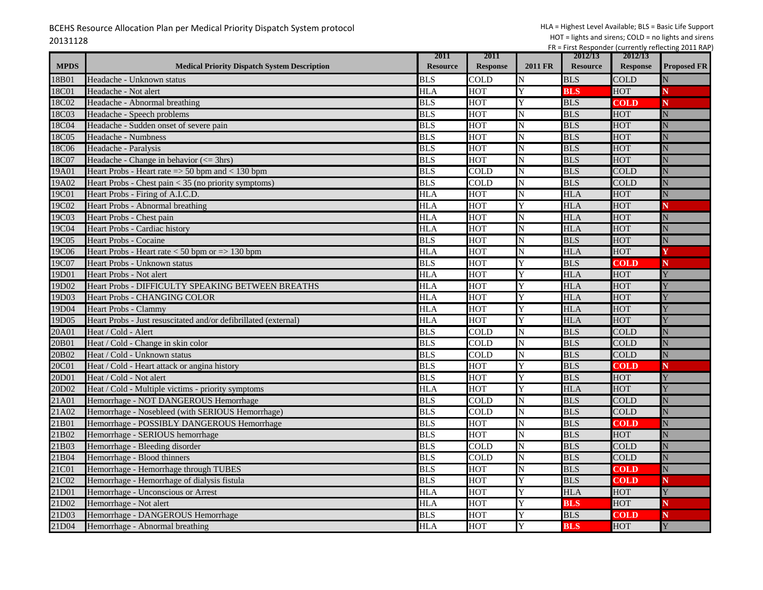|             |                                                                 | 2011             | 2011            |                | 2012/13         | 2012/13         |                    |
|-------------|-----------------------------------------------------------------|------------------|-----------------|----------------|-----------------|-----------------|--------------------|
| <b>MPDS</b> | <b>Medical Priority Dispatch System Description</b>             | <b>Resource</b>  | <b>Response</b> | <b>2011 FR</b> | <b>Resource</b> | <b>Response</b> | <b>Proposed FR</b> |
| 18B01       | Headache - Unknown status                                       | <b>BLS</b>       | COLD            | N              | <b>BLS</b>      | COLD            |                    |
| 18C01       | Headache - Not alert                                            | <b>HLA</b>       | <b>HOT</b>      | Y              | <b>BLS</b>      | <b>HOT</b>      |                    |
| 18C02       | Headache - Abnormal breathing                                   | <b>BLS</b>       | <b>HOT</b>      | Y              | <b>BLS</b>      | COLD            | N                  |
| 18C03       | Headache - Speech problems                                      | <b>BLS</b>       | <b>HOT</b>      | N              | <b>BLS</b>      | <b>HOT</b>      | N                  |
| 18C04       | Headache - Sudden onset of severe pain                          | <b>BLS</b>       | <b>HOT</b>      | N              | <b>BLS</b>      | HOT             | N                  |
| 18C05       | Headache - Numbness                                             | <b>BLS</b>       | <b>HOT</b>      | N              | <b>BLS</b>      | <b>HOT</b>      |                    |
| 18C06       | Headache - Paralysis                                            | <b>BLS</b>       | <b>HOT</b>      | N              | <b>BLS</b>      | HOT             | N                  |
| 18C07       | Headache - Change in behavior $\left(\leq 3$ hrs)               | <b>BLS</b>       | <b>HOT</b>      | N              | <b>BLS</b>      | HOT             | N                  |
| 19A01       | Heart Probs - Heart rate $\Rightarrow$ 50 bpm and $<$ 130 bpm   | <b>BLS</b>       | <b>COLD</b>     | N              | <b>BLS</b>      | <b>COLD</b>     | N                  |
| 19A02       | Heart Probs - Chest pain < 35 (no priority symptoms)            | <b>BLS</b>       | <b>COLD</b>     | N              | <b>BLS</b>      | <b>COLD</b>     | N                  |
| 19C01       | Heart Probs - Firing of A.I.C.D.                                | HLA              | HOT             | N              | <b>HLA</b>      | <b>HOT</b>      | N                  |
| 19C02       | <b>Heart Probs - Abnormal breathing</b>                         | HLA              | <b>HOT</b>      |                | <b>HLA</b>      | HOT             |                    |
| 19C03       | Heart Probs - Chest pain                                        | <b>HLA</b>       | <b>HOT</b>      | N              | <b>HLA</b>      | HOT             | N                  |
| 19C04       | Heart Probs - Cardiac history                                   | <b>HLA</b>       | <b>HOT</b>      | N              | <b>HLA</b>      | HOT             | N                  |
| 19C05       | <b>Heart Probs - Cocaine</b>                                    | <b>BLS</b>       | <b>HOT</b>      | N              | <b>BLS</b>      | HOT             |                    |
| 19C06       | Heart Probs - Heart rate $< 50$ bpm or $\Rightarrow$ 130 bpm    | <b>HLA</b>       | <b>HOT</b>      | N              | <b>HLA</b>      | <b>HOT</b>      |                    |
| 19C07       | Heart Probs - Unknown status                                    | <b>BLS</b>       | <b>HOT</b>      |                | <b>BLS</b>      | COLD            | N                  |
| 19D01       | Heart Probs - Not alert                                         | <b>HLA</b>       | HOT             |                | <b>HLA</b>      | <b>HOT</b>      | Y                  |
| 19D02       | Heart Probs - DIFFICULTY SPEAKING BETWEEN BREATHS               | <b>HLA</b>       | <b>HOT</b>      |                | <b>HLA</b>      | HOT             |                    |
| 19D03       | Heart Probs - CHANGING COLOR                                    | <b>HLA</b>       | HOT             | Y              | <b>HLA</b>      | <b>HOT</b>      |                    |
| 19D04       | <b>Heart Probs - Clammy</b>                                     | HLA              | <b>HOT</b>      |                | <b>HLA</b>      | HOT             |                    |
| 19D05       | Heart Probs - Just resuscitated and/or defibrillated (external) | HLA              | HOT             |                | <b>HLA</b>      | HOT             |                    |
| 20A01       | Heat / Cold - Alert                                             | <b>BLS</b>       | <b>COLD</b>     | N              | <b>BLS</b>      | <b>COLD</b>     | N                  |
| 20B01       | Heat / Cold - Change in skin color                              | <b>BLS</b>       | COLD            | N              | <b>BLS</b>      | <b>COLD</b>     | N                  |
| 20B02       | Heat / Cold - Unknown status                                    | <b>BLS</b>       | COLD            | N              | <b>BLS</b>      | <b>COLD</b>     | N                  |
| 20C01       | Heat / Cold - Heart attack or angina history                    | $\overline{BLS}$ | <b>HOT</b>      | Y              | <b>BLS</b>      | COLD            | N                  |
| 20D01       | Heat / Cold - Not alert                                         | <b>BLS</b>       | <b>HOT</b>      |                | <b>BLS</b>      | <b>HOT</b>      |                    |
| 20D02       | Heat / Cold - Multiple victims - priority symptoms              | <b>HLA</b>       | <b>HOT</b>      |                | <b>HLA</b>      | HOT             |                    |
| 21A01       | Hemorrhage - NOT DANGEROUS Hemorrhage                           | <b>BLS</b>       | COLD            | N              | <b>BLS</b>      | COLD            | N                  |
| 21A02       | Hemorrhage - Nosebleed (with SERIOUS Hemorrhage)                | <b>BLS</b>       | COLD            | N              | <b>BLS</b>      | <b>COLD</b>     | N                  |
| 21B01       | Hemorrhage - POSSIBLY DANGEROUS Hemorrhage                      | <b>BLS</b>       | <b>HOT</b>      | N              | <b>BLS</b>      | COLD            | N                  |
| 21B02       | Hemorrhage - SERIOUS hemorrhage                                 | <b>BLS</b>       | <b>HOT</b>      | N              | <b>BLS</b>      | <b>HOT</b>      | N                  |
| 21B03       | Hemorrhage - Bleeding disorder                                  | <b>BLS</b>       | <b>COLD</b>     | N              | <b>BLS</b>      | <b>COLD</b>     | N                  |
| 21B04       | Hemorrhage - Blood thinners                                     | <b>BLS</b>       | COLD            | N              | <b>BLS</b>      | <b>COLD</b>     | N                  |
| 21C01       | Hemorrhage - Hemorrhage through TUBES                           | <b>BLS</b>       | HOT             | N              | <b>BLS</b>      | COLD            | ${\bf N}$          |
| 21C02       | Hemorrhage - Hemorrhage of dialysis fistula                     | <b>BLS</b>       | <b>HOT</b>      | Y              | <b>BLS</b>      | COLD            | N                  |
| 21D01       | Hemorrhage - Unconscious or Arrest                              | <b>HLA</b>       | <b>HOT</b>      |                | <b>HLA</b>      | <b>HOT</b>      | Ÿ                  |
| 21D02       | Hemorrhage - Not alert                                          | <b>HLA</b>       | <b>HOT</b>      |                | <b>BLS</b>      | <b>HOT</b>      | N                  |
| 21D03       | Hemorrhage - DANGEROUS Hemorrhage                               | <b>BLS</b>       | <b>HOT</b>      |                | <b>BLS</b>      | <b>COLD</b>     | N                  |
| 21D04       | Hemorrhage - Abnormal breathing                                 | <b>HLA</b>       | <b>HOT</b>      | Y              | <b>BLS</b>      | <b>HOT</b>      | Y                  |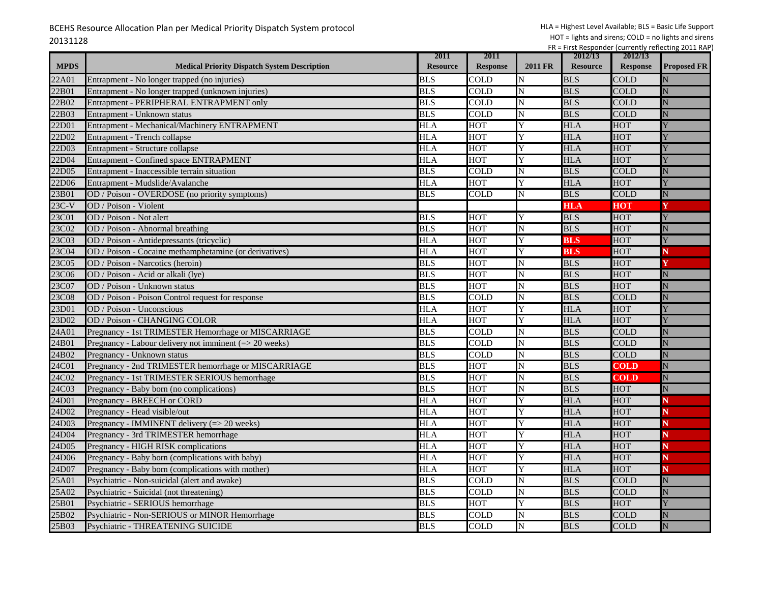|             |                                                           | 2011            | 2011            |         | 2012/13         | 2012/13         |                    |
|-------------|-----------------------------------------------------------|-----------------|-----------------|---------|-----------------|-----------------|--------------------|
| <b>MPDS</b> | <b>Medical Priority Dispatch System Description</b>       | <b>Resource</b> | <b>Response</b> | 2011 FR | <b>Resource</b> | <b>Response</b> | <b>Proposed FR</b> |
| 22A01       | Entrapment - No longer trapped (no injuries)              | <b>BLS</b>      | COLD            | N       | <b>BLS</b>      | COLD            |                    |
| 22B01       | Entrapment - No longer trapped (unknown injuries)         | <b>BLS</b>      | COLD            | N       | <b>BLS</b>      | <b>COLD</b>     |                    |
| 22B02       | Entrapment - PERIPHERAL ENTRAPMENT only                   | BLS             | COLD            | N       | <b>BLS</b>      | COLD            | N                  |
| 22B03       | Entrapment - Unknown status                               | <b>BLS</b>      | COL D           | N       | <b>BLS</b>      | <b>COLD</b>     |                    |
| 22D01       | Entrapment - Mechanical/Machinery ENTRAPMENT              | <b>HLA</b>      | HOT             | Y       | <b>HLA</b>      | <b>HOT</b>      |                    |
| 22D02       | Entrapment - Trench collapse                              | <b>HLA</b>      | HOT             | Y       | <b>HLA</b>      | HOT             |                    |
| 22D03       | Entrapment - Structure collapse                           | <b>HLA</b>      | <b>HOT</b>      | Y       | <b>HLA</b>      | <b>HOT</b>      |                    |
| 22D04       | Entrapment - Confined space ENTRAPMENT                    | <b>HLA</b>      | HOT             | Y       | <b>HLA</b>      | <b>HOT</b>      |                    |
| 22D05       | Entrapment - Inaccessible terrain situation               | <b>BLS</b>      | COLD            | N       | <b>BLS</b>      | <b>COLD</b>     |                    |
| 22D06       | Entrapment - Mudslide/Avalanche                           | <b>HLA</b>      | <b>HOT</b>      | Y       | <b>HLA</b>      | <b>HOT</b>      |                    |
| 23B01       | OD / Poison - OVERDOSE (no priority symptoms)             | <b>BLS</b>      | COLD            | N       | <b>BLS</b>      | <b>COLD</b>     |                    |
| $23C-V$     | OD / Poison - Violent                                     |                 |                 |         | <b>HLA</b>      | <b>HOT</b>      |                    |
| 23C01       | OD / Poison - Not alert                                   | <b>BLS</b>      | <b>HOT</b>      | Y       | <b>BLS</b>      | HOT             |                    |
| 23C02       | OD / Poison - Abnormal breathing                          | <b>BLS</b>      | <b>HOT</b>      | N       | <b>BLS</b>      | <b>HOT</b>      |                    |
| 23C03       | OD / Poison - Antidepressants (tricyclic)                 | <b>HLA</b>      | <b>HOT</b>      | Y       | <b>BLS</b>      | <b>HOT</b>      |                    |
| 23C04       | OD / Poison - Cocaine methamphetamine (or derivatives)    | <b>HLA</b>      | <b>HOT</b>      | Y       | <b>BLS</b>      | HOT             |                    |
| 23C05       | OD / Poison - Narcotics (heroin)                          | <b>BLS</b>      | HOT             | N       | <b>BLS</b>      | <b>HOT</b>      |                    |
| 23C06       | OD / Poison - Acid or alkali (lye)                        | <b>BLS</b>      | <b>HOT</b>      | N       | <b>BLS</b>      | <b>HOT</b>      | N                  |
| 23C07       | OD / Poison - Unknown status                              | <b>BLS</b>      | <b>HOT</b>      | N       | <b>BLS</b>      | HOT             |                    |
| 23C08       | OD / Poison - Poison Control request for response         | <b>BLS</b>      | COLD            | N       | <b>BLS</b>      | <b>COLD</b>     |                    |
| 23D01       | OD / Poison - Unconscious                                 | <b>HLA</b>      | HOT             | Y       | HLA             | <b>HOT</b>      |                    |
| 23D02       | <b>OD / Poison - CHANGING COLOR</b>                       | <b>HLA</b>      | <b>HOT</b>      | Y       | <b>HLA</b>      | <b>HOT</b>      |                    |
| 24A01       | Pregnancy - 1st TRIMESTER Hemorrhage or MISCARRIAGE       | <b>BLS</b>      | COLD            | N       | <b>BLS</b>      | <b>COLD</b>     |                    |
| 24B01       | Pregnancy - Labour delivery not imminent $(= > 20$ weeks) | <b>BLS</b>      | COLD            | N       | <b>BLS</b>      | <b>COLD</b>     | Ń                  |
| 24B02       | Pregnancy - Unknown status                                | <b>BLS</b>      | COLD            | N       | <b>BLS</b>      | <b>COLD</b>     |                    |
| 24C01       | Pregnancy - 2nd TRIMESTER hemorrhage or MISCARRIAGE       | <b>BLS</b>      | <b>HOT</b>      | N       | <b>BLS</b>      | <b>COLD</b>     | $\mathbf N$        |
| 24C02       | Pregnancy - 1st TRIMESTER SERIOUS hemorrhage              | <b>BLS</b>      | HOT             | N       | <b>BLS</b>      | <b>COLD</b>     | N                  |
| 24C03       | Pregnancy - Baby born (no complications)                  | <b>BLS</b>      | HOT             | N       | <b>BLS</b>      | <b>HOT</b>      |                    |
| 24D01       | Pregnancy - BREECH or CORD                                | <b>HLA</b>      | HOT             | Ÿ       | <b>HLA</b>      | <b>HOT</b>      |                    |
| 24D02       | Pregnancy - Head visible/out                              | HLA             | нот             | Y       | HLA             | <b>HOT</b>      |                    |
| 24D03       | Pregnancy - IMMINENT delivery (=> 20 weeks)               | <b>HLA</b>      | <b>HOT</b>      | Y       | <b>HLA</b>      | HOT             |                    |
| 24D04       | Pregnancy - 3rd TRIMESTER hemorrhage                      | <b>HLA</b>      | <b>HOT</b>      | Y       | <b>HLA</b>      | HOT             |                    |
| 24D05       | Pregnancy - HIGH RISK complications                       | <b>HLA</b>      | <b>HOT</b>      | Y       | <b>HLA</b>      | <b>HOT</b>      |                    |
| 24D06       | Pregnancy - Baby born (complications with baby)           | <b>HLA</b>      | <b>HOT</b>      | Y       | <b>HLA</b>      | <b>HOT</b>      |                    |
| 24D07       | Pregnancy - Baby born (complications with mother)         | <b>HLA</b>      | <b>HOT</b>      | Y       | <b>HLA</b>      | <b>HOT</b>      |                    |
| 25A01       | Psychiatric - Non-suicidal (alert and awake)              | <b>BLS</b>      | COLD            | N       | <b>BLS</b>      | <b>COLD</b>     | N                  |
| 25A02       | Psychiatric - Suicidal (not threatening)                  | <b>BLS</b>      | COLD            | N       | <b>BLS</b>      | <b>COLD</b>     |                    |
| 25B01       | Psychiatric - SERIOUS hemorrhage                          | <b>BLS</b>      | <b>HOT</b>      | Y       | <b>BLS</b>      | <b>HOT</b>      |                    |
| 25B02       | Psychiatric - Non-SERIOUS or MINOR Hemorrhage             | <b>BLS</b>      | COLD            | N       | <b>BLS</b>      | <b>COLD</b>     |                    |
| 25B03       | Psychiatric - THREATENING SUICIDE                         | <b>BLS</b>      | <b>COLD</b>     | N       | <b>BLS</b>      | <b>COLD</b>     | N                  |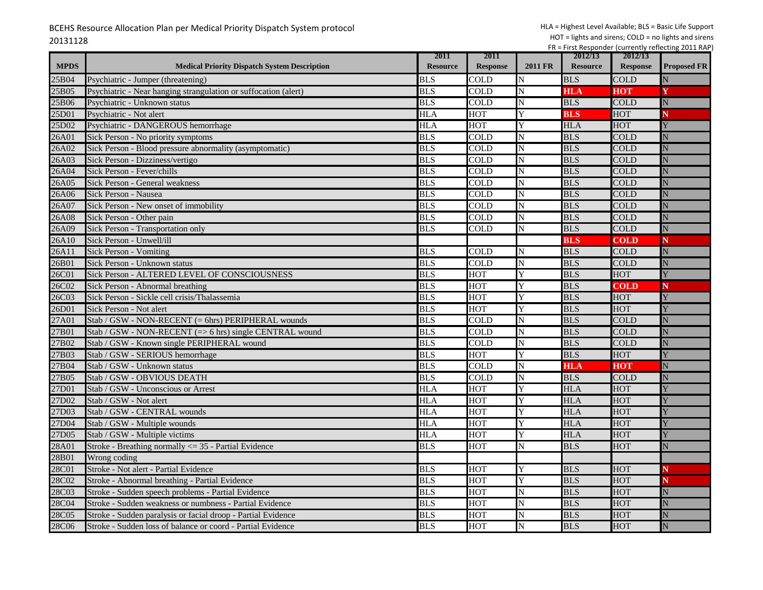|             |                                                                 | 2011            | 2011                      |                    | 2012/13         | 2012/13         |                    |
|-------------|-----------------------------------------------------------------|-----------------|---------------------------|--------------------|-----------------|-----------------|--------------------|
| <b>MPDS</b> | <b>Medical Priority Dispatch System Description</b>             | <b>Resource</b> | <b>Response</b>           | <b>2011 FR</b>     | <b>Resource</b> | <b>Response</b> | <b>Proposed FR</b> |
| 25B04       | Psychiatric - Jumper (threatening)                              | <b>BLS</b>      | COLD                      | N                  | <b>BLS</b>      | COLD            |                    |
| 25B05       | Psychiatric - Near hanging strangulation or suffocation (alert) | <b>BLS</b>      | COLD                      | N                  | <b>HLA</b>      | HOT             |                    |
| 25B06       | Psychiatric - Unknown status                                    | <b>BLS</b>      | COLD                      | N                  | <b>BLS</b>      | COLD            | N                  |
| 25D01       | Psychiatric - Not alert                                         | HLA             | <b>HOT</b>                | Y                  | <b>BLS</b>      | HOT             |                    |
| 25D02       | Psychiatric - DANGEROUS hemorrhage                              | <b>HLA</b>      | <b>HOT</b>                | Y                  | <b>HLA</b>      | <b>HOT</b>      |                    |
| 26A01       | Sick Person - No priority symptoms                              | <b>BLS</b>      | <b>COLD</b>               | N                  | <b>BLS</b>      | <b>COLD</b>     |                    |
| 26A02       | Sick Person - Blood pressure abnormality (asymptomatic)         | <b>BLS</b>      | COLD                      | N                  | <b>BLS</b>      | <b>COLD</b>     | N                  |
| 26A03       | Sick Person - Dizziness/vertigo                                 | <b>BLS</b>      | <b>COLD</b>               | N                  | <b>BLS</b>      | <b>COLD</b>     |                    |
| 26A04       | Sick Person - Fever/chills                                      | <b>BLS</b>      | <b>COLD</b>               | N                  | <b>BLS</b>      | <b>COLD</b>     | Ń                  |
| 26A05       | Sick Person - General weakness                                  | <b>BLS</b>      | <b>COLD</b>               | N                  | <b>BLS</b>      | <b>COLD</b>     | Ń                  |
| 26A06       | Sick Person - Nausea                                            | <b>BLS</b>      | <b>COLD</b>               | N                  | <b>BLS</b>      | <b>COLD</b>     | Ń                  |
| 26A07       | Sick Person - New onset of immobility                           | <b>BLS</b>      | <b>COLD</b>               | N                  | <b>BLS</b>      | <b>COLD</b>     | Ñ                  |
| 26A08       | Sick Person - Other pain                                        | <b>BLS</b>      | COLD                      | N                  | <b>BLS</b>      | COLD            |                    |
| 26A09       | Sick Person - Transportation only                               | <b>BLS</b>      | <b>COLD</b>               | N                  | <b>BLS</b>      | <b>COLD</b>     | N                  |
| 26A10       | Sick Person - Unwell/ill                                        |                 |                           |                    | <b>BLS</b>      | <b>COLD</b>     | N                  |
| 26A11       | <b>Sick Person - Vomiting</b>                                   | <b>BLS</b>      | <b>COLD</b>               | N                  | <b>BLS</b>      | <b>COLD</b>     | N                  |
| 26B01       | Sick Person - Unknown status                                    | <b>BLS</b>      | <b>COLD</b>               | N                  | <b>BLS</b>      | <b>COLD</b>     | Ñ                  |
| 26C01       | Sick Person - ALTERED LEVEL OF CONSCIOUSNESS                    | <b>BLS</b>      | <b>HOT</b>                | Y                  | <b>BLS</b>      | <b>HOT</b>      |                    |
| 26C02       | Sick Person - Abnormal breathing                                | <b>BLS</b>      | <b>HOT</b>                | Y                  | <b>BLS</b>      | <b>COLD</b>     | N                  |
| 26C03       | Sick Person - Sickle cell crisis/Thalassemia                    | <b>BLS</b>      | <b>HOT</b>                | Y                  | <b>BLS</b>      | <b>HOT</b>      |                    |
| 26D01       | Sick Person - Not alert                                         | <b>BLS</b>      | <b>HOT</b>                | Y                  | <b>BLS</b>      | <b>HOT</b>      |                    |
| 27A01       | Stab / GSW - NON-RECENT (= 6hrs) PERIPHERAL wounds              | <b>BLS</b>      | <b>COLD</b>               | N                  | <b>BLS</b>      | COLD            |                    |
| 27B01       | Stab / GSW - NON-RECENT (=> 6 hrs) single CENTRAL wound         | <b>BLS</b>      | COLD                      | N                  | <b>BLS</b>      | <b>COLD</b>     |                    |
| 27B02       | Stab / GSW - Known single PERIPHERAL wound                      | <b>BLS</b>      | $\overline{\mathrm{COL}}$ | N                  | <b>BLS</b>      | <b>COLD</b>     | Ń                  |
| 27B03       | Stab / GSW - SERIOUS hemorrhage                                 | <b>BLS</b>      | <b>HOT</b>                | Y                  | <b>BLS</b>      | <b>HOT</b>      |                    |
| 27B04       | Stab / GSW - Unknown status                                     | <b>BLS</b>      | COLD                      | $\overline{\rm N}$ | <b>HLA</b>      | HOT             | N                  |
| 27B05       | Stab / GSW - OBVIOUS DEATH                                      | <b>BLS</b>      | COLD                      | N                  | <b>BLS</b>      | <b>COLD</b>     |                    |
| 27D01       | Stab / GSW - Unconscious or Arrest                              | <b>HLA</b>      | <b>HOT</b>                | Ÿ                  | <b>HLA</b>      | <b>HOT</b>      |                    |
| 27D02       | Stab / GSW - Not alert                                          | <b>HLA</b>      | <b>HOT</b>                | Y                  | <b>HLA</b>      | <b>HOT</b>      |                    |
| 27D03       | Stab / GSW - CENTRAL wounds                                     | HLA             | <b>HOT</b>                | Y                  | <b>HLA</b>      | <b>HOT</b>      |                    |
| 27D04       | Stab / GSW - Multiple wounds                                    | <b>HLA</b>      | <b>HOT</b>                | Y                  | <b>HLA</b>      | HOT             |                    |
| 27D05       | Stab / GSW - Multiple victims                                   | <b>HLA</b>      | HOT                       | Y                  | <b>HLA</b>      | <b>HOT</b>      |                    |
| 28A01       | Stroke - Breathing normally $\leq$ 35 - Partial Evidence        | <b>BLS</b>      | <b>HOT</b>                | N                  | <b>BLS</b>      | <b>HOT</b>      | N                  |
| 28B01       | Wrong coding                                                    |                 |                           |                    |                 |                 |                    |
| 28C01       | Stroke - Not alert - Partial Evidence                           | <b>BLS</b>      | <b>HOT</b>                | Y                  | <b>BLS</b>      | <b>HOT</b>      |                    |
| 28C02       | Stroke - Abnormal breathing - Partial Evidence                  | <b>BLS</b>      | <b>HOT</b>                | Y                  | <b>BLS</b>      | <b>HOT</b>      |                    |
| 28C03       | Stroke - Sudden speech problems - Partial Evidence              | <b>BLS</b>      | <b>HOT</b>                | N                  | <b>BLS</b>      | <b>HOT</b>      | Ń                  |
| 28C04       | Stroke - Sudden weakness or numbness - Partial Evidence         | <b>BLS</b>      | <b>HOT</b>                | N                  | <b>BLS</b>      | <b>HOT</b>      |                    |
| 28C05       | Stroke - Sudden paralysis or facial droop - Partial Evidence    | <b>BLS</b>      | <b>HOT</b>                | N                  | <b>BLS</b>      | HOT             |                    |
| 28C06       | Stroke - Sudden loss of balance or coord - Partial Evidence     | <b>BLS</b>      | <b>HOT</b>                | N                  | <b>BLS</b>      | <b>HOT</b>      | N                  |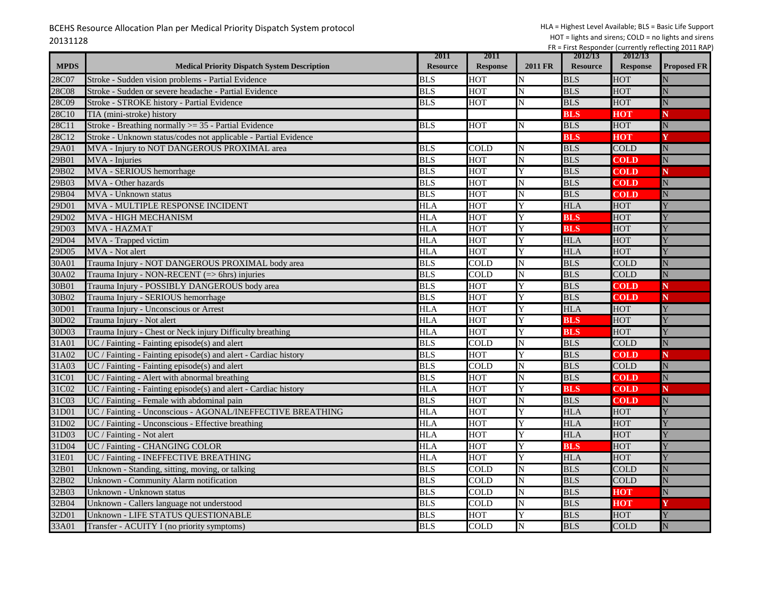| <b>MPDS</b> | <b>Medical Priority Dispatch System Description</b>             | 2011<br><b>Resource</b> | 2011<br><b>Response</b>  | <b>2011 FR</b> | 2012/13<br><b>Resource</b> | 2012/13<br><b>Response</b> | <b>Proposed FR</b> |
|-------------|-----------------------------------------------------------------|-------------------------|--------------------------|----------------|----------------------------|----------------------------|--------------------|
| 28C07       | Stroke - Sudden vision problems - Partial Evidence              | <b>BLS</b>              | HOT                      | N              | <b>BLS</b>                 | HOT                        |                    |
| 28C08       | Stroke - Sudden or severe headache - Partial Evidence           | <b>BLS</b>              | HOT                      | N              | <b>BLS</b>                 | HOT                        |                    |
| 28C09       | Stroke - STROKE history - Partial Evidence                      | <b>BLS</b>              | HOT                      | N              | <b>BLS</b>                 | <b>HOT</b>                 | N                  |
| 28C10       | TIA (mini-stroke) history                                       |                         |                          |                | <b>BLS</b>                 | нот                        | N                  |
| 28C11       | Stroke - Breathing normally >= 35 - Partial Evidence            | <b>BLS</b>              | <b>HOT</b>               | N              | <b>BLS</b>                 | <b>HOT</b>                 | N                  |
| 28C12       | Stroke - Unknown status/codes not applicable - Partial Evidence |                         |                          |                | <b>BLS</b>                 | <b>HOT</b>                 | Y                  |
| 29A01       | MVA - Injury to NOT DANGEROUS PROXIMAL area                     | <b>BLS</b>              | COLD                     | N              | <b>BLS</b>                 | <b>COLD</b>                | N                  |
| 29B01       | MVA - Injuries                                                  | <b>BLS</b>              | HOT                      | ${\bf N}$      | <b>BLS</b>                 | <b>COLD</b>                | $\overline{\rm N}$ |
| 29B02       | MVA - SERIOUS hemorrhage                                        | <b>BLS</b>              | <b>HOT</b>               | Y              | <b>BLS</b>                 | <b>COLD</b>                | N                  |
| 29B03       | MVA - Other hazards                                             | <b>BLS</b>              | <b>HOT</b>               | N              | <b>BLS</b>                 | <b>COLD</b>                |                    |
| 29B04       |                                                                 | <b>BLS</b>              | <b>HOT</b>               | N              | <b>BLS</b>                 |                            | N                  |
|             | MVA - Unknown status                                            |                         |                          |                |                            | <b>COLD</b>                | N                  |
| 29D01       | MVA - MULTIPLE RESPONSE INCIDENT                                | <b>HLA</b>              | <b>HOT</b>               | Y<br>Y         | <b>HLA</b>                 | HOT                        |                    |
| 29D02       | MVA - HIGH MECHANISM                                            | <b>HLA</b>              | HOT                      |                | <b>BLS</b>                 | HOT                        |                    |
| 29D03       | <b>MVA - HAZMAT</b>                                             | HLA                     | <b>HOT</b>               | Y              | <b>BLS</b>                 | <b>HOT</b>                 |                    |
| 29D04       | MVA - Trapped victim                                            | HLA                     | HOT                      | Ý              | <b>HLA</b>                 | <b>HOT</b>                 |                    |
| 29D05       | MVA - Not alert                                                 | HLA                     | HOT                      | Y              | <b>HLA</b>                 | <b>HOT</b>                 |                    |
| 30A01       | Trauma Injury - NOT DANGEROUS PROXIMAL body area                | <b>BLS</b>              | COLD                     | N              | <b>BLS</b>                 | <b>COLD</b>                | N                  |
| 30A02       | Trauma Injury - NON-RECENT (=> 6hrs) injuries                   | <b>BLS</b>              | <b>COLD</b>              | N              | <b>BLS</b>                 | <b>COLD</b>                | N                  |
| 30B01       | Trauma Injury - POSSIBLY DANGEROUS body area                    | <b>BLS</b>              | <b>HOT</b>               | Y              | <b>BLS</b>                 | <b>COLD</b>                | N                  |
| 30B02       | Trauma Injury - SERIOUS hemorrhage                              | <b>BLS</b>              | <b>HOT</b>               | Y              | <b>BLS</b>                 | <b>COLD</b>                | N                  |
| 30D01       | Trauma Injury - Unconscious or Arrest                           | HLA                     | HOT                      | Y              | <b>HLA</b>                 | HOT                        | Y                  |
| 30D02       | Trauma Injury - Not alert                                       | <b>HLA</b>              | <b>HOT</b>               | Y              | <b>BLS</b>                 | <b>HOT</b>                 |                    |
| 30D03       | Trauma Injury - Chest or Neck injury Difficulty breathing       | HLA                     | <b>HOT</b>               | Y              | <b>BLS</b>                 | HOT                        |                    |
| 31A01       | UC / Fainting - Fainting episode(s) and alert                   | <b>BLS</b>              | $\overline{\text{COLD}}$ | N              | <b>BLS</b>                 | <b>COLD</b>                | N                  |
| 31A02       | UC / Fainting - Fainting episode(s) and alert - Cardiac history | <b>BLS</b>              | HOT                      | Y              | <b>BLS</b>                 | <b>COLD</b>                | N                  |
| 31A03       | UC / Fainting - Fainting episode(s) and alert                   | <b>BLS</b>              | COLD                     | $\mathbf N$    | <b>BLS</b>                 | <b>COLD</b>                | $\mathbf N$        |
| 31C01       | UC / Fainting - Alert with abnormal breathing                   | <b>BLS</b>              | HOT                      | ${\bf N}$      | <b>BLS</b>                 | <b>COLD</b>                | $\overline{\rm N}$ |
| 31C02       | UC / Fainting - Fainting episode(s) and alert - Cardiac history | <b>HLA</b>              | <b>HOT</b>               | Y              | <b>BLS</b>                 | <b>COLD</b>                | N                  |
| 31C03       | UC / Fainting - Female with abdominal pain                      | <b>BLS</b>              | <b>HOT</b>               | N              | <b>BLS</b>                 | <b>COLD</b>                | N                  |
| 31D01       | UC / Fainting - Unconscious - AGONAL/INEFFECTIVE BREATHING      | HLA                     | <b>HOT</b>               | Y              | <b>HLA</b>                 | <b>HOT</b>                 |                    |
| 31D02       | UC / Fainting - Unconscious - Effective breathing               | <b>HLA</b>              | <b>HOT</b>               | Y              | <b>HLA</b>                 | HOT                        |                    |
| 31D03       | UC / Fainting - Not alert                                       | <b>HLA</b>              | <b>HOT</b>               | Y              | <b>HLA</b>                 | HOT                        |                    |
| 31D04       | UC / Fainting - CHANGING COLOR                                  | <b>HLA</b>              | <b>HOT</b>               | Y              | <b>BLS</b>                 | <b>HOT</b>                 |                    |
| 31E01       | UC / Fainting - INEFFECTIVE BREATHING                           | <b>HLA</b>              | <b>HOT</b>               | Y              | <b>HLA</b>                 | <b>HOT</b>                 |                    |
| 32B01       | Unknown - Standing, sitting, moving, or talking                 | <b>BLS</b>              | COLD                     | N              | <b>BLS</b>                 | <b>COLD</b>                | N                  |
| 32B02       | Unknown - Community Alarm notification                          | <b>BLS</b>              | COLD                     | N              | <b>BLS</b>                 | <b>COLD</b>                |                    |
| 32B03       | Unknown - Unknown status                                        | <b>BLS</b>              | COLD                     | N              | <b>BLS</b>                 | HOT                        | N                  |
| 32B04       | Unknown - Callers language not understood                       | <b>BLS</b>              | <b>COLD</b>              | N              | <b>BLS</b>                 | HOT                        |                    |
| 32D01       | Unknown - LIFE STATUS QUESTIONABLE                              | <b>BLS</b>              | <b>HOT</b>               | Y              | <b>BLS</b>                 | HOT                        |                    |
| 33A01       | Transfer - ACUITY I (no priority symptoms)                      | <b>BLS</b>              | <b>COLD</b>              | N              | <b>BLS</b>                 | <b>COLD</b>                | N                  |